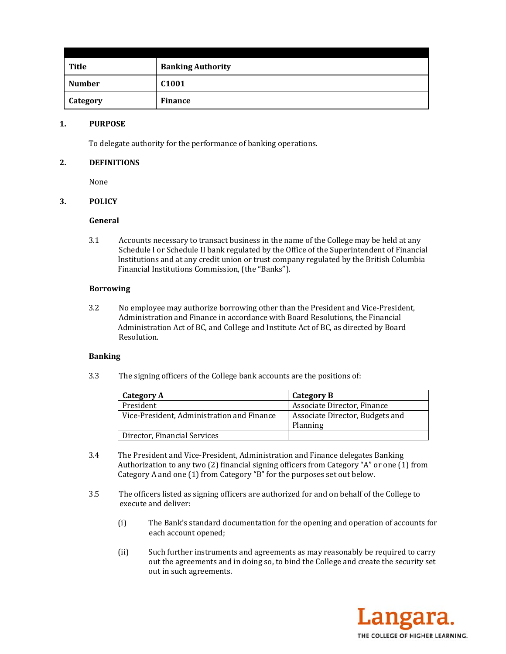| Title         | <b>Banking Authority</b> |
|---------------|--------------------------|
| <b>Number</b> | C <sub>1001</sub>        |
| Category      | <b>Finance</b>           |

### **1. PURPOSE**

To delegate authority for the performance of banking operations.

## **2. DEFINITIONS**

None 

## **3. POLICY**

#### **General**

3.1 Accounts necessary to transact business in the name of the College may be held at any Schedule I or Schedule II bank regulated by the Office of the Superintendent of Financial Institutions and at any credit union or trust company regulated by the British Columbia Financial Institutions Commission, (the "Banks").

#### **Borrowing**

3.2 No employee may authorize borrowing other than the President and Vice-President, Administration and Finance in accordance with Board Resolutions, the Financial Administration Act of BC, and College and Institute Act of BC, as directed by Board Resolution. 

#### **Banking**

3.3 The signing officers of the College bank accounts are the positions of:

| Category A                                 | Category B                                  |
|--------------------------------------------|---------------------------------------------|
| President                                  | Associate Director, Finance                 |
| Vice-President, Administration and Finance | Associate Director, Budgets and<br>Planning |
| Director, Financial Services               |                                             |

- 3.4 The President and Vice-President, Administration and Finance delegates Banking Authorization to any two  $(2)$  financial signing officers from Category "A" or one  $(1)$  from Category A and one  $(1)$  from Category "B" for the purposes set out below.
- 3.5 The officers listed as signing officers are authorized for and on behalf of the College to execute and deliver:
	- (i) The Bank's standard documentation for the opening and operation of accounts for each account opened;
	- (ii) Such further instruments and agreements as may reasonably be required to carry out the agreements and in doing so, to bind the College and create the security set out in such agreements.